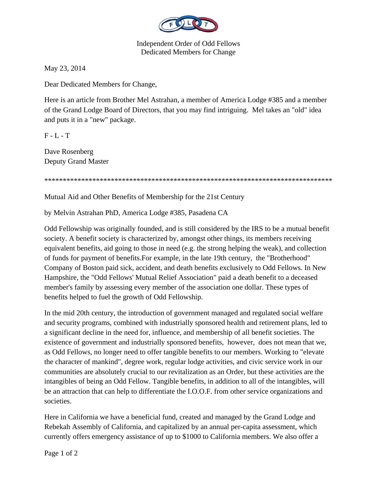

Independent Order of Odd Fellows Dedicated Members for Change

May 23, 2014

Dear Dedicated Members for Change,

Here is an article from Brother Mel Astrahan, a member of America Lodge #385 and a member of the Grand Lodge Board of Directors, that you may find intriguing. Mel takes an "old" idea and puts it in a "new" package.

 $F - L - T$ 

Dave Rosenberg Deputy Grand Master

\*\*\*\*\*\*\*\*\*\*\*\*\*\*\*\*\*\*\*\*\*\*\*\*\*\*\*\*\*\*\*\*\*\*\*\*\*\*\*\*\*\*\*\*\*\*\*\*\*\*\*\*\*\*\*\*\*\*\*\*\*\*\*\*\*\*\*\*\*\*\*\*\*\*\*\*\*\*

Mutual Aid and Other Benefits of Membership for the 21st Century

by Melvin Astrahan PhD, America Lodge #385, Pasadena CA

Odd Fellowship was originally founded, and is still considered by the IRS to be a mutual benefit society. A benefit society is characterized by, amongst other things, its members receiving equivalent benefits, aid going to those in need (e.g. the strong helping the weak), and collection of funds for payment of benefits.For example, in the late 19th century, the "Brotherhood" Company of Boston paid sick, accident, and death benefits exclusively to Odd Fellows. In New Hampshire, the "Odd Fellows' Mutual Relief Association" paid a death benefit to a deceased member's family by assessing every member of the association one dollar. These types of benefits helped to fuel the growth of Odd Fellowship.

In the mid 20th century, the introduction of government managed and regulated social welfare and security programs, combined with industrially sponsored health and retirement plans, led to a significant decline in the need for, influence, and membership of all benefit societies. The existence of government and industrially sponsored benefits, however, does not mean that we, as Odd Fellows, no longer need to offer tangible benefits to our members. Working to "elevate the character of mankind", degree work, regular lodge activities, and civic service work in our communities are absolutely crucial to our revitalization as an Order, but these activities are the intangibles of being an Odd Fellow. Tangible benefits, in addition to all of the intangibles, will be an attraction that can help to differentiate the I.O.O.F. from other service organizations and societies.

Here in California we have a beneficial fund, created and managed by the Grand Lodge and Rebekah Assembly of California, and capitalized by an annual per-capita assessment, which currently offers emergency assistance of up to \$1000 to California members. We also offer a